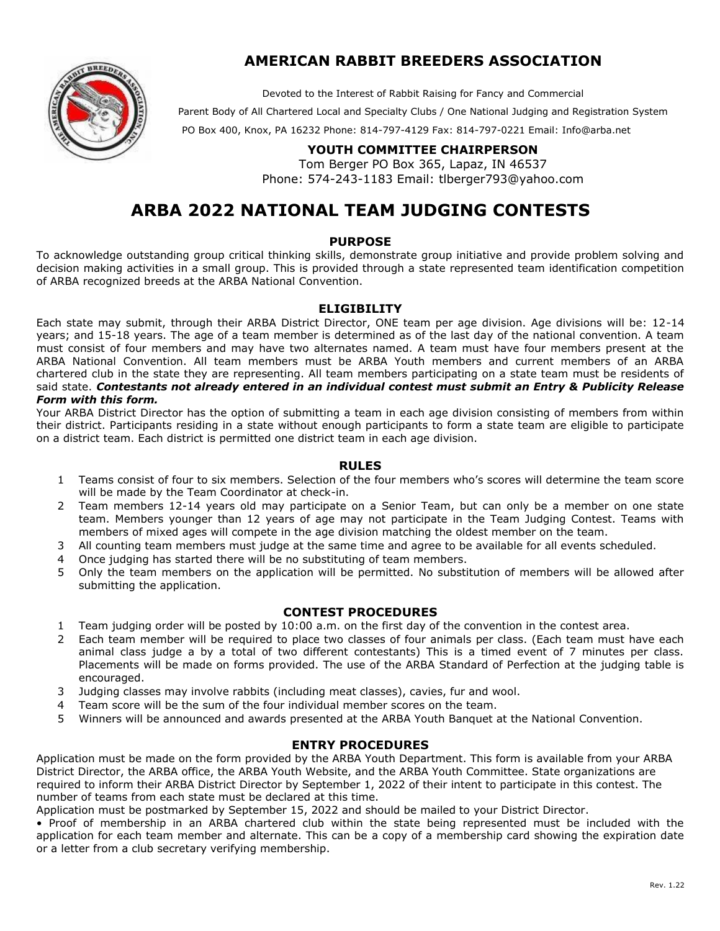

# **AMERICAN RABBIT BREEDERS ASSOCIATION**

Devoted to the Interest of Rabbit Raising for Fancy and Commercial

Parent Body of All Chartered Local and Specialty Clubs / One National Judging and Registration System

PO Box 400, Knox, PA 16232 Phone: 814-797-4129 Fax: 814-797-0221 Email: Info@[arba.net](mailto:Info@arba.net) 

# **YOUTH COMMITTEE CHAIRPERSON**

Tom Berger PO Box 365, Lapaz, IN 46537 Phone: 574-243-1183 Email: tlbe[rger793@yahoo.c](mailto:youth@arba.net)om

# **ARBA 2022 NATIONAL TEAM JUDGING CONTESTS**

#### **PURPOSE**

To acknowledge outstanding group critical thinking skills, demonstrate group initiative and provide problem solving and decision making activities in a small group. This is provided through a state represented team identification competition of ARBA recognized breeds at the ARBA National Convention.

#### **ELIGIBILITY**

Each state may submit, through their ARBA District Director, ONE team per age division. Age divisions will be: 12-14 years; and 15-18 years. The age of a team member is determined as of the last day of the national convention. A team must consist of four members and may have two alternates named. A team must have four members present at the ARBA National Convention. All team members must be ARBA Youth members and current members of an ARBA chartered club in the state they are representing. All team members participating on a state team must be residents of said state. *Contestants not already entered in an individual contest must submit an Entry & Publicity Release Form with this form.* 

Your ARBA District Director has the option of submitting a team in each age division consisting of members from within their district. Participants residing in a state without enough participants to form a state team are eligible to participate on a district team. Each district is permitted one district team in each age division.

## **RULES**

- 1 Teams consist of four to six members. Selection of the four members who's scores will determine the team score will be made by the Team Coordinator at check-in.
- 2 Team members 12-14 years old may participate on a Senior Team, but can only be a member on one state team. Members younger than 12 years of age may not participate in the Team Judging Contest. Teams with members of mixed ages will compete in the age division matching the oldest member on the team.
- 3 All counting team members must judge at the same time and agree to be available for all events scheduled.
- 4 Once judging has started there will be no substituting of team members.
- 5 Only the team members on the application will be permitted. No substitution of members will be allowed after submitting the application.

## **CONTEST PROCEDURES**

- 1 Team judging order will be posted by 10:00 a.m. on the first day of the convention in the contest area.
- 2 Each team member will be required to place two classes of four animals per class. (Each team must have each animal class judge a by a total of two different contestants) This is a timed event of 7 minutes per class. Placements will be made on forms provided. The use of the ARBA Standard of Perfection at the judging table is encouraged.
- 3 Judging classes may involve rabbits (including meat classes), cavies, fur and wool.
- 4 Team score will be the sum of the four individual member scores on the team.
- 5 Winners will be announced and awards presented at the ARBA Youth Banquet at the National Convention.

## **ENTRY PROCEDURES**

Application must be made on the form provided by the ARBA Youth Department. This form is available from your ARBA District Director, the ARBA office, the ARBA Youth Website, and the ARBA Youth Committee. State organizations are required to inform their ARBA District Director by September 1, 2022 of their intent to participate in this contest. The number of teams from each state must be declared at this time.

Application must be postmarked by September 15, 2022 and should be mailed to your District Director.

• Proof of membership in an ARBA chartered club within the state being represented must be included with the application for each team member and alternate. This can be a copy of a membership card showing the expiration date or a letter from a club secretary verifying membership.